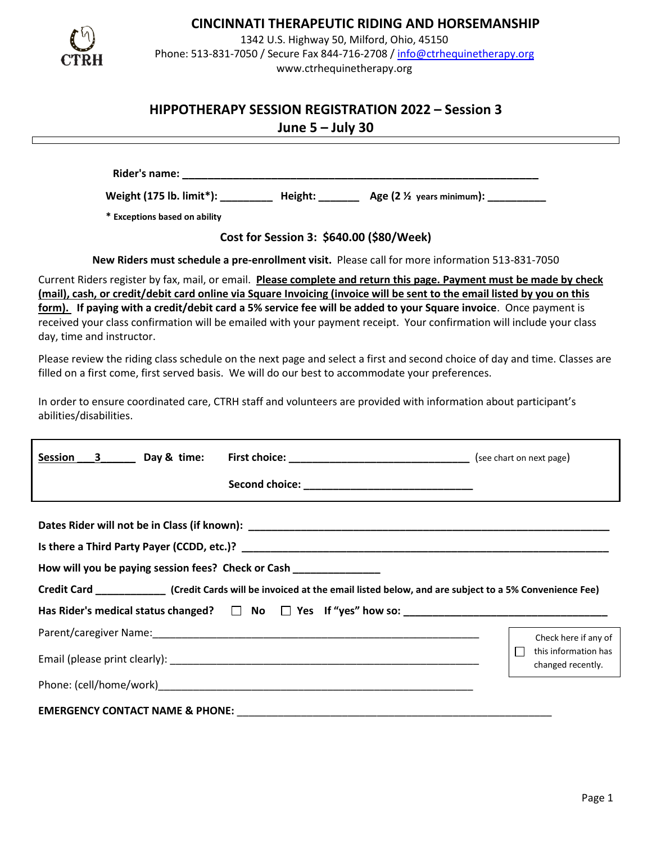

# **CINCINNATI THERAPEUTIC RIDING AND HORSEMANSHIP**

1342 U.S. Highway 50, Milford, Ohio, 45150 Phone: 513-831-7050 / Secure Fax 844-716-2708 / [info@ctrhequinetherapy.org](mailto:info@ctrhequinetherapy.org) www.ctrhequinetherapy.org

# **HIPPOTHERAPY SESSION REGISTRATION 2022 – Session 3**

**June 5 – July 30**

**Rider's name: \_\_\_\_\_\_\_\_\_\_\_\_\_\_\_\_\_\_\_\_\_\_\_\_\_\_\_\_\_\_\_\_\_\_\_\_\_\_\_\_\_\_\_\_\_\_\_\_\_\_\_\_\_\_\_\_**

**Weight (175 lb. limit\*): \_\_\_\_\_\_\_\_\_ Height: \_\_\_\_\_\_\_ Age (2 ½ years minimum): \_\_\_\_\_\_\_\_\_\_**

 **\* Exceptions based on ability**

**Cost for Session 3: \$640.00 (\$80/Week)**

**New Riders must schedule a pre-enrollment visit.** Please call for more information 513-831-7050

Current Riders register by fax, mail, or email. **Please complete and return this page. Payment must be made by check (mail), cash, or credit/debit card online via Square Invoicing (invoice will be sent to the email listed by you on this form). If paying with a credit/debit card a 5% service fee will be added to your Square invoice**. Once payment is received your class confirmation will be emailed with your payment receipt. Your confirmation will include your class day, time and instructor.

Please review the riding class schedule on the next page and select a first and second choice of day and time. Classes are filled on a first come, first served basis. We will do our best to accommodate your preferences.

In order to ensure coordinated care, CTRH staff and volunteers are provided with information about participant's abilities/disabilities.

| Session 3 Day & time: |                                                                                                                                                                                                         |                                                                   |
|-----------------------|---------------------------------------------------------------------------------------------------------------------------------------------------------------------------------------------------------|-------------------------------------------------------------------|
|                       | How will you be paying session fees? Check or Cash ________________<br>Credit Card _________________ (Credit Cards will be invoiced at the email listed below, and are subject to a 5% Convenience Fee) |                                                                   |
|                       |                                                                                                                                                                                                         | Check here if any of<br>this information has<br>changed recently. |
|                       |                                                                                                                                                                                                         |                                                                   |